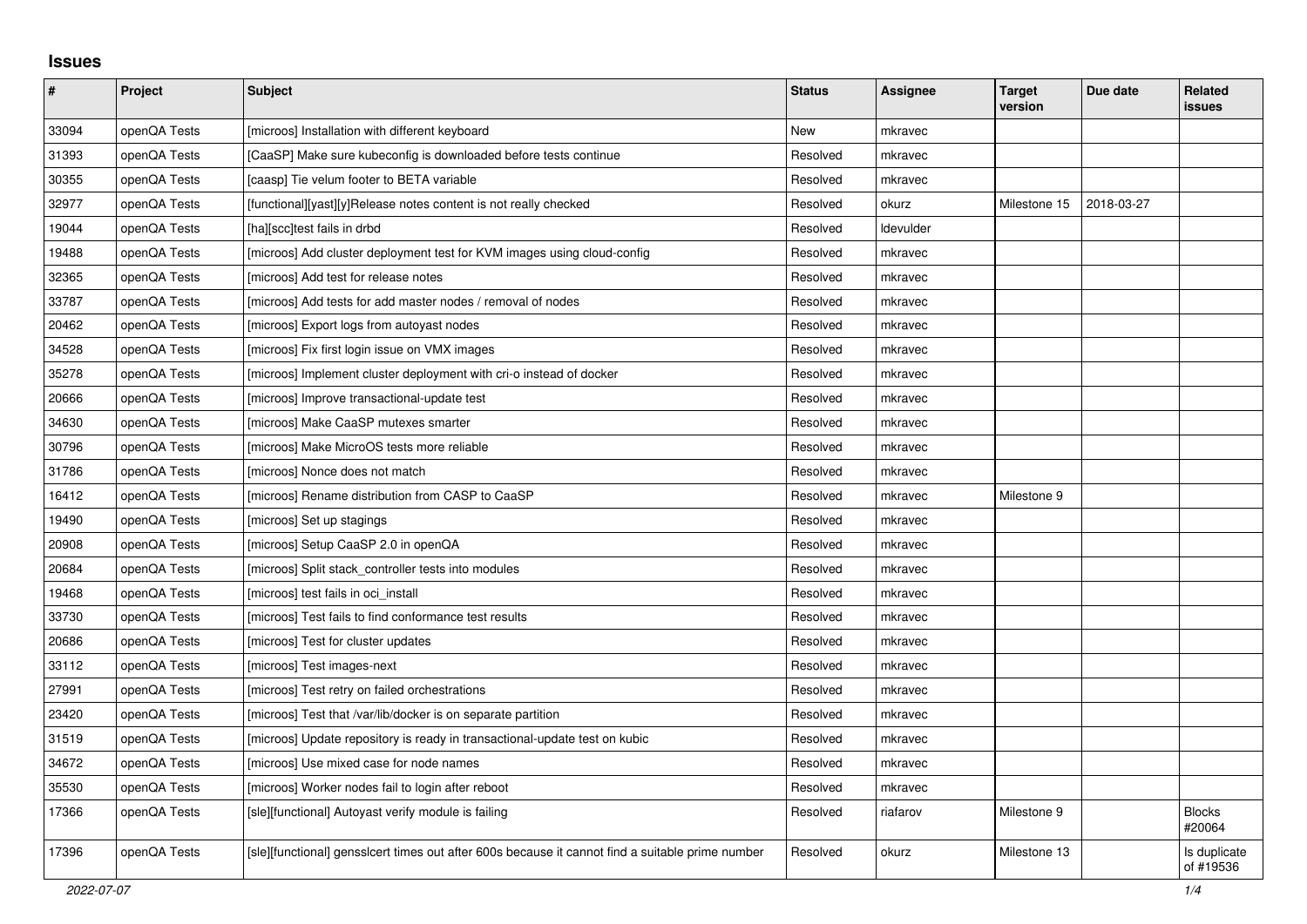## **Issues**

| $\vert$ # | Project      | <b>Subject</b>                                                                                   | <b>Status</b> | <b>Assignee</b> | <b>Target</b><br>version | Due date   | <b>Related</b><br><b>issues</b> |
|-----------|--------------|--------------------------------------------------------------------------------------------------|---------------|-----------------|--------------------------|------------|---------------------------------|
| 33094     | openQA Tests | [microos] Installation with different keyboard                                                   | <b>New</b>    | mkravec         |                          |            |                                 |
| 31393     | openQA Tests | [CaaSP] Make sure kubeconfig is downloaded before tests continue                                 | Resolved      | mkravec         |                          |            |                                 |
| 30355     | openQA Tests | [caasp] Tie velum footer to BETA variable                                                        | Resolved      | mkravec         |                          |            |                                 |
| 32977     | openQA Tests | [functional][yast][y]Release notes content is not really checked                                 | Resolved      | okurz           | Milestone 15             | 2018-03-27 |                                 |
| 19044     | openQA Tests | [ha][scc]test fails in drbd                                                                      | Resolved      | Idevulder       |                          |            |                                 |
| 19488     | openQA Tests | [microos] Add cluster deployment test for KVM images using cloud-config                          | Resolved      | mkravec         |                          |            |                                 |
| 32365     | openQA Tests | [microos] Add test for release notes                                                             | Resolved      | mkravec         |                          |            |                                 |
| 33787     | openQA Tests | [microos] Add tests for add master nodes / removal of nodes                                      | Resolved      | mkravec         |                          |            |                                 |
| 20462     | openQA Tests | [microos] Export logs from autoyast nodes                                                        | Resolved      | mkravec         |                          |            |                                 |
| 34528     | openQA Tests | [microos] Fix first login issue on VMX images                                                    | Resolved      | mkravec         |                          |            |                                 |
| 35278     | openQA Tests | [microos] Implement cluster deployment with cri-o instead of docker                              | Resolved      | mkravec         |                          |            |                                 |
| 20666     | openQA Tests | [microos] Improve transactional-update test                                                      | Resolved      | mkravec         |                          |            |                                 |
| 34630     | openQA Tests | [microos] Make CaaSP mutexes smarter                                                             | Resolved      | mkravec         |                          |            |                                 |
| 30796     | openQA Tests | [microos] Make MicroOS tests more reliable                                                       | Resolved      | mkravec         |                          |            |                                 |
| 31786     | openQA Tests | [microos] Nonce does not match                                                                   | Resolved      | mkravec         |                          |            |                                 |
| 16412     | openQA Tests | [microos] Rename distribution from CASP to CaaSP                                                 | Resolved      | mkravec         | Milestone 9              |            |                                 |
| 19490     | openQA Tests | [microos] Set up stagings                                                                        | Resolved      | mkravec         |                          |            |                                 |
| 20908     | openQA Tests | [microos] Setup CaaSP 2.0 in openQA                                                              | Resolved      | mkravec         |                          |            |                                 |
| 20684     | openQA Tests | [microos] Split stack controller tests into modules                                              | Resolved      | mkravec         |                          |            |                                 |
| 19468     | openQA Tests | [microos] test fails in oci install                                                              | Resolved      | mkravec         |                          |            |                                 |
| 33730     | openQA Tests | [microos] Test fails to find conformance test results                                            | Resolved      | mkravec         |                          |            |                                 |
| 20686     | openQA Tests | [microos] Test for cluster updates                                                               | Resolved      | mkravec         |                          |            |                                 |
| 33112     | openQA Tests | [microos] Test images-next                                                                       | Resolved      | mkravec         |                          |            |                                 |
| 27991     | openQA Tests | [microos] Test retry on failed orchestrations                                                    | Resolved      | mkravec         |                          |            |                                 |
| 23420     | openQA Tests | [microos] Test that /var/lib/docker is on separate partition                                     | Resolved      | mkravec         |                          |            |                                 |
| 31519     | openQA Tests | [microos] Update repository is ready in transactional-update test on kubic                       | Resolved      | mkravec         |                          |            |                                 |
| 34672     | openQA Tests | [microos] Use mixed case for node names                                                          | Resolved      | mkravec         |                          |            |                                 |
| 35530     | openQA Tests | [microos] Worker nodes fail to login after reboot                                                | Resolved      | mkravec         |                          |            |                                 |
| 17366     | openQA Tests | [sle][functional] Autoyast verify module is failing                                              | Resolved      | riafarov        | Milestone 9              |            | <b>Blocks</b><br>#20064         |
| 17396     | openQA Tests | [sle][functional] gensslcert times out after 600s because it cannot find a suitable prime number | Resolved      | okurz           | Milestone 13             |            | Is duplicate<br>of #19536       |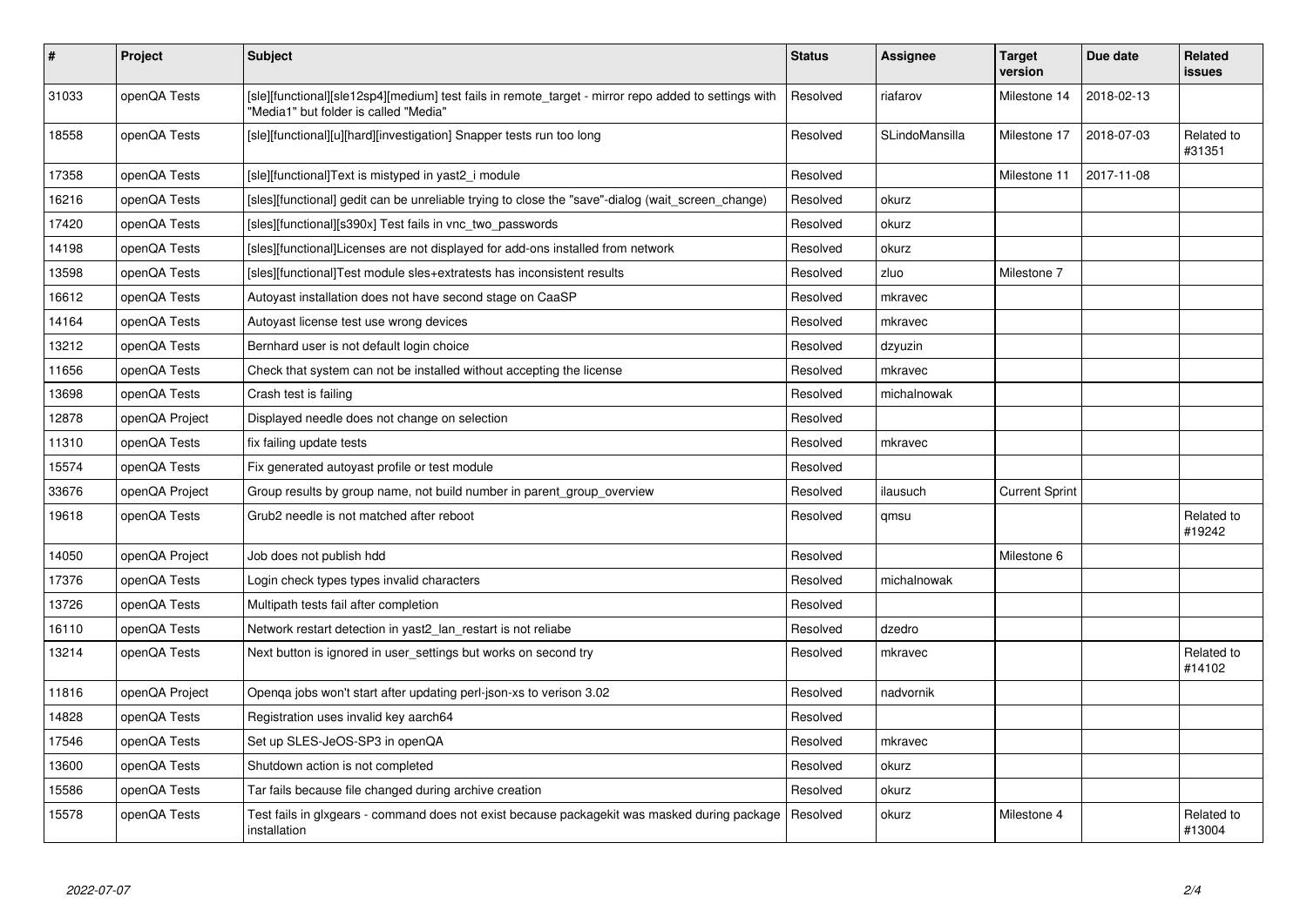| $\pmb{\#}$ | Project        | <b>Subject</b>                                                                                                                                | <b>Status</b> | <b>Assignee</b> | <b>Target</b><br>version | Due date   | <b>Related</b><br><b>issues</b> |
|------------|----------------|-----------------------------------------------------------------------------------------------------------------------------------------------|---------------|-----------------|--------------------------|------------|---------------------------------|
| 31033      | openQA Tests   | [sle][functional][sle12sp4][medium] test fails in remote_target - mirror repo added to settings with<br>"Media1" but folder is called "Media" | Resolved      | riafarov        | Milestone 14             | 2018-02-13 |                                 |
| 18558      | openQA Tests   | [sle][functional][u][hard][investigation] Snapper tests run too long                                                                          | Resolved      | SLindoMansilla  | Milestone 17             | 2018-07-03 | Related to<br>#31351            |
| 17358      | openQA Tests   | [sle][functional]Text is mistyped in yast2 i module                                                                                           | Resolved      |                 | Milestone 11             | 2017-11-08 |                                 |
| 16216      | openQA Tests   | [sles][functional] gedit can be unreliable trying to close the "save"-dialog (wait_screen_change)                                             | Resolved      | okurz           |                          |            |                                 |
| 17420      | openQA Tests   | [sles][functional][s390x] Test fails in vnc_two_passwords                                                                                     | Resolved      | okurz           |                          |            |                                 |
| 14198      | openQA Tests   | [sles][functional]Licenses are not displayed for add-ons installed from network                                                               | Resolved      | okurz           |                          |            |                                 |
| 13598      | openQA Tests   | [sles][functional]Test module sles+extratests has inconsistent results                                                                        | Resolved      | zluo            | Milestone 7              |            |                                 |
| 16612      | openQA Tests   | Autoyast installation does not have second stage on CaaSP                                                                                     | Resolved      | mkravec         |                          |            |                                 |
| 14164      | openQA Tests   | Autoyast license test use wrong devices                                                                                                       | Resolved      | mkravec         |                          |            |                                 |
| 13212      | openQA Tests   | Bernhard user is not default login choice                                                                                                     | Resolved      | dzyuzin         |                          |            |                                 |
| 11656      | openQA Tests   | Check that system can not be installed without accepting the license                                                                          | Resolved      | mkravec         |                          |            |                                 |
| 13698      | openQA Tests   | Crash test is failing                                                                                                                         | Resolved      | michalnowak     |                          |            |                                 |
| 12878      | openQA Project | Displayed needle does not change on selection                                                                                                 | Resolved      |                 |                          |            |                                 |
| 11310      | openQA Tests   | fix failing update tests                                                                                                                      | Resolved      | mkravec         |                          |            |                                 |
| 15574      | openQA Tests   | Fix generated autoyast profile or test module                                                                                                 | Resolved      |                 |                          |            |                                 |
| 33676      | openQA Project | Group results by group name, not build number in parent_group_overview                                                                        | Resolved      | ilausuch        | <b>Current Sprint</b>    |            |                                 |
| 19618      | openQA Tests   | Grub2 needle is not matched after reboot                                                                                                      | Resolved      | qmsu            |                          |            | Related to<br>#19242            |
| 14050      | openQA Project | Job does not publish hdd                                                                                                                      | Resolved      |                 | Milestone 6              |            |                                 |
| 17376      | openQA Tests   | Login check types types invalid characters                                                                                                    | Resolved      | michalnowak     |                          |            |                                 |
| 13726      | openQA Tests   | Multipath tests fail after completion                                                                                                         | Resolved      |                 |                          |            |                                 |
| 16110      | openQA Tests   | Network restart detection in yast2_lan_restart is not reliabe                                                                                 | Resolved      | dzedro          |                          |            |                                 |
| 13214      | openQA Tests   | Next button is ignored in user_settings but works on second try                                                                               | Resolved      | mkravec         |                          |            | Related to<br>#14102            |
| 11816      | openQA Project | Openga jobs won't start after updating perl-json-xs to verison 3.02                                                                           | Resolved      | nadvornik       |                          |            |                                 |
| 14828      | openQA Tests   | Registration uses invalid key aarch64                                                                                                         | Resolved      |                 |                          |            |                                 |
| 17546      | openQA Tests   | Set up SLES-JeOS-SP3 in openQA                                                                                                                | Resolved      | mkravec         |                          |            |                                 |
| 13600      | openQA Tests   | Shutdown action is not completed                                                                                                              | Resolved      | okurz           |                          |            |                                 |
| 15586      | openQA Tests   | Tar fails because file changed during archive creation                                                                                        | Resolved      | okurz           |                          |            |                                 |
| 15578      | openQA Tests   | Test fails in glxgears - command does not exist because packagekit was masked during package<br>installation                                  | Resolved      | okurz           | Milestone 4              |            | Related to<br>#13004            |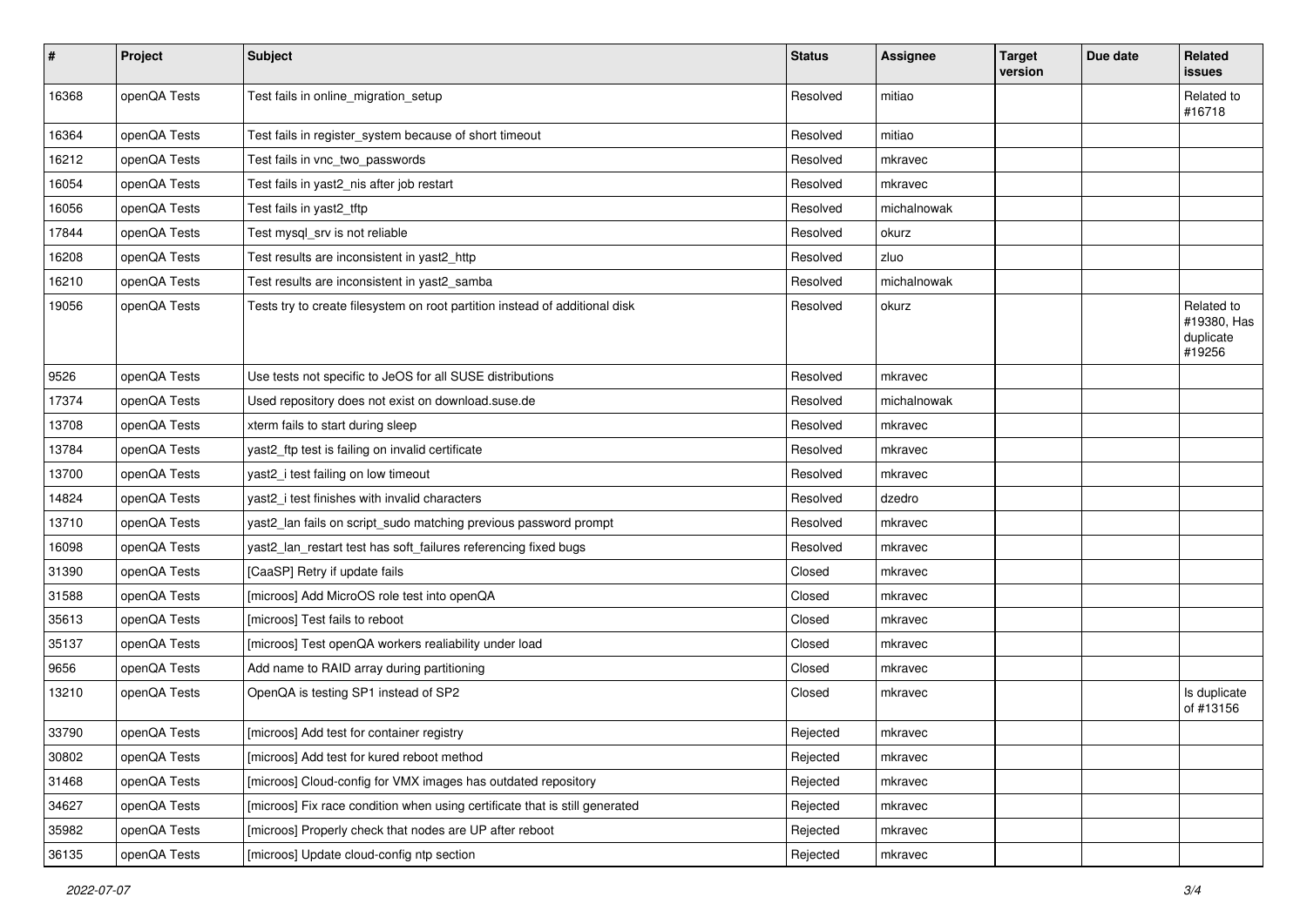| $\vert$ # | Project      | <b>Subject</b>                                                              | <b>Status</b> | <b>Assignee</b> | <b>Target</b><br>version | Due date | Related<br>issues                                |
|-----------|--------------|-----------------------------------------------------------------------------|---------------|-----------------|--------------------------|----------|--------------------------------------------------|
| 16368     | openQA Tests | Test fails in online_migration_setup                                        | Resolved      | mitiao          |                          |          | Related to<br>#16718                             |
| 16364     | openQA Tests | Test fails in register_system because of short timeout                      | Resolved      | mitiao          |                          |          |                                                  |
| 16212     | openQA Tests | Test fails in vnc_two_passwords                                             | Resolved      | mkravec         |                          |          |                                                  |
| 16054     | openQA Tests | Test fails in yast2_nis after job restart                                   | Resolved      | mkravec         |                          |          |                                                  |
| 16056     | openQA Tests | Test fails in yast2_tftp                                                    | Resolved      | michalnowak     |                          |          |                                                  |
| 17844     | openQA Tests | Test mysql_srv is not reliable                                              | Resolved      | okurz           |                          |          |                                                  |
| 16208     | openQA Tests | Test results are inconsistent in yast2_http                                 | Resolved      | zluo            |                          |          |                                                  |
| 16210     | openQA Tests | Test results are inconsistent in yast2_samba                                | Resolved      | michalnowak     |                          |          |                                                  |
| 19056     | openQA Tests | Tests try to create filesystem on root partition instead of additional disk | Resolved      | okurz           |                          |          | Related to<br>#19380, Has<br>duplicate<br>#19256 |
| 9526      | openQA Tests | Use tests not specific to JeOS for all SUSE distributions                   | Resolved      | mkravec         |                          |          |                                                  |
| 17374     | openQA Tests | Used repository does not exist on download.suse.de                          | Resolved      | michalnowak     |                          |          |                                                  |
| 13708     | openQA Tests | xterm fails to start during sleep                                           | Resolved      | mkravec         |                          |          |                                                  |
| 13784     | openQA Tests | yast2_ftp test is failing on invalid certificate                            | Resolved      | mkravec         |                          |          |                                                  |
| 13700     | openQA Tests | yast2_i test failing on low timeout                                         | Resolved      | mkravec         |                          |          |                                                  |
| 14824     | openQA Tests | yast2_i test finishes with invalid characters                               | Resolved      | dzedro          |                          |          |                                                  |
| 13710     | openQA Tests | yast2_lan fails on script_sudo matching previous password prompt            | Resolved      | mkravec         |                          |          |                                                  |
| 16098     | openQA Tests | yast2_lan_restart test has soft_failures referencing fixed bugs             | Resolved      | mkravec         |                          |          |                                                  |
| 31390     | openQA Tests | [CaaSP] Retry if update fails                                               | Closed        | mkravec         |                          |          |                                                  |
| 31588     | openQA Tests | [microos] Add MicroOS role test into openQA                                 | Closed        | mkravec         |                          |          |                                                  |
| 35613     | openQA Tests | [microos] Test fails to reboot                                              | Closed        | mkravec         |                          |          |                                                  |
| 35137     | openQA Tests | [microos] Test openQA workers realiability under load                       | Closed        | mkravec         |                          |          |                                                  |
| 9656      | openQA Tests | Add name to RAID array during partitioning                                  | Closed        | mkravec         |                          |          |                                                  |
| 13210     | openQA Tests | OpenQA is testing SP1 instead of SP2                                        | Closed        | mkravec         |                          |          | Is duplicate<br>of #13156                        |
| 33790     | openQA Tests | [microos] Add test for container registry                                   | Rejected      | mkravec         |                          |          |                                                  |
| 30802     | openQA Tests | [microos] Add test for kured reboot method                                  | Rejected      | mkravec         |                          |          |                                                  |
| 31468     | openQA Tests | [microos] Cloud-config for VMX images has outdated repository               | Rejected      | mkravec         |                          |          |                                                  |
| 34627     | openQA Tests | [microos] Fix race condition when using certificate that is still generated | Rejected      | mkravec         |                          |          |                                                  |
| 35982     | openQA Tests | [microos] Properly check that nodes are UP after reboot                     | Rejected      | mkravec         |                          |          |                                                  |
| 36135     | openQA Tests | [microos] Update cloud-config ntp section                                   | Rejected      | mkravec         |                          |          |                                                  |